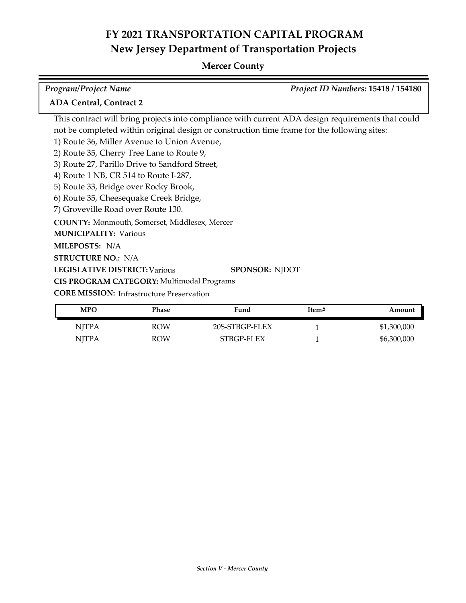| <b>Program/Project Name</b>                                                                 | Project ID Numbers: 15418 / 154180                                                                |
|---------------------------------------------------------------------------------------------|---------------------------------------------------------------------------------------------------|
| <b>ADA Central, Contract 2</b>                                                              |                                                                                                   |
|                                                                                             | This contract will bring projects into compliance with current ADA design requirements that could |
| not be completed within original design or construction time frame for the following sites: |                                                                                                   |
| 1) Route 36, Miller Avenue to Union Avenue,                                                 |                                                                                                   |
| 2) Route 35, Cherry Tree Lane to Route 9,                                                   |                                                                                                   |
| 3) Route 27, Parillo Drive to Sandford Street,                                              |                                                                                                   |
| 4) Route 1 NB, CR 514 to Route I-287,                                                       |                                                                                                   |
| 5) Route 33, Bridge over Rocky Brook,                                                       |                                                                                                   |
| 6) Route 35, Cheesequake Creek Bridge,                                                      |                                                                                                   |
| 7) Groveville Road over Route 130.                                                          |                                                                                                   |
| <b>COUNTY:</b> Monmouth, Somerset, Middlesex, Mercer                                        |                                                                                                   |
| <b>MUNICIPALITY: Various</b>                                                                |                                                                                                   |
| MILEPOSTS: N/A                                                                              |                                                                                                   |
| <b>STRUCTURE NO.: N/A</b>                                                                   |                                                                                                   |
| <b>LEGISLATIVE DISTRICT: Various</b>                                                        | <b>SPONSOR: NJDOT</b>                                                                             |
| CIS PROGRAM CATEGORY: Multimodal Programs                                                   |                                                                                                   |
| <b>CORE MISSION:</b> Infrastructure Preservation                                            |                                                                                                   |

| <b>MPO</b> | <b>Phase</b> | Fund           | Item# | Amount      |
|------------|--------------|----------------|-------|-------------|
| NITPA      | <b>ROW</b>   | 20S-STBGP-FLEX |       | \$1,300,000 |
| NITPA      | <b>ROW</b>   | STBGP-FLEX     |       | \$6,300,000 |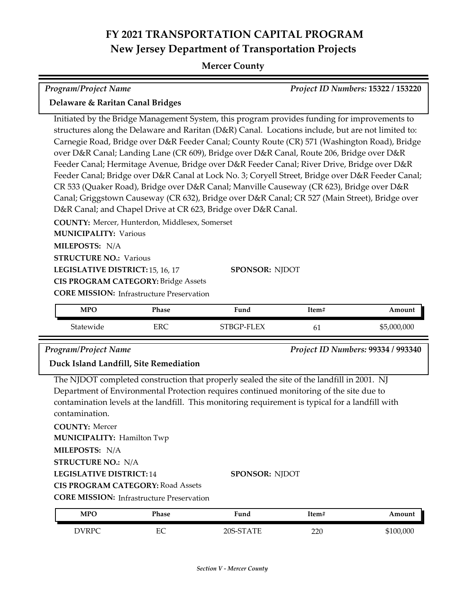| Program/Project Name                                                                                                                                                                                                                                                                                                                                                                                                                                                                                                                                                                                                                                                                                                                                                                                                                                                                                                                                                                                                                                                                                          |            |            |       | Project ID Numbers: 15322 / 153220 |
|---------------------------------------------------------------------------------------------------------------------------------------------------------------------------------------------------------------------------------------------------------------------------------------------------------------------------------------------------------------------------------------------------------------------------------------------------------------------------------------------------------------------------------------------------------------------------------------------------------------------------------------------------------------------------------------------------------------------------------------------------------------------------------------------------------------------------------------------------------------------------------------------------------------------------------------------------------------------------------------------------------------------------------------------------------------------------------------------------------------|------------|------------|-------|------------------------------------|
| Delaware & Raritan Canal Bridges                                                                                                                                                                                                                                                                                                                                                                                                                                                                                                                                                                                                                                                                                                                                                                                                                                                                                                                                                                                                                                                                              |            |            |       |                                    |
|                                                                                                                                                                                                                                                                                                                                                                                                                                                                                                                                                                                                                                                                                                                                                                                                                                                                                                                                                                                                                                                                                                               |            |            |       |                                    |
| Initiated by the Bridge Management System, this program provides funding for improvements to<br>structures along the Delaware and Raritan (D&R) Canal. Locations include, but are not limited to:<br>Carnegie Road, Bridge over D&R Feeder Canal; County Route (CR) 571 (Washington Road), Bridge<br>over D&R Canal; Landing Lane (CR 609), Bridge over D&R Canal, Route 206, Bridge over D&R<br>Feeder Canal; Hermitage Avenue, Bridge over D&R Feeder Canal; River Drive, Bridge over D&R<br>Feeder Canal; Bridge over D&R Canal at Lock No. 3; Coryell Street, Bridge over D&R Feeder Canal;<br>CR 533 (Quaker Road), Bridge over D&R Canal; Manville Causeway (CR 623), Bridge over D&R<br>Canal; Griggstown Causeway (CR 632), Bridge over D&R Canal; CR 527 (Main Street), Bridge over<br>D&R Canal; and Chapel Drive at CR 623, Bridge over D&R Canal.<br>COUNTY: Mercer, Hunterdon, Middlesex, Somerset<br><b>MUNICIPALITY: Various</b><br>MILEPOSTS: N/A<br><b>STRUCTURE NO.: Various</b><br><b>SPONSOR: NJDOT</b><br>LEGISLATIVE DISTRICT: 15, 16, 17<br><b>CIS PROGRAM CATEGORY: Bridge Assets</b> |            |            |       |                                    |
| <b>CORE MISSION: Infrastructure Preservation</b>                                                                                                                                                                                                                                                                                                                                                                                                                                                                                                                                                                                                                                                                                                                                                                                                                                                                                                                                                                                                                                                              |            |            |       |                                    |
| <b>MPO</b>                                                                                                                                                                                                                                                                                                                                                                                                                                                                                                                                                                                                                                                                                                                                                                                                                                                                                                                                                                                                                                                                                                    | Phase      | Fund       | Item# | Amount                             |
| Statewide                                                                                                                                                                                                                                                                                                                                                                                                                                                                                                                                                                                                                                                                                                                                                                                                                                                                                                                                                                                                                                                                                                     | <b>ERC</b> | STBGP-FLEX | 61    | \$5,000,000                        |
| Program/Project Name<br>Duck Island Landfill, Site Remediation                                                                                                                                                                                                                                                                                                                                                                                                                                                                                                                                                                                                                                                                                                                                                                                                                                                                                                                                                                                                                                                |            |            |       | Project ID Numbers: 99334 / 993340 |
| The NJDOT completed construction that properly sealed the site of the landfill in 2001. NJ<br>Department of Environmental Protection requires continued monitoring of the site due to<br>contamination levels at the landfill. This monitoring requirement is typical for a landfill with<br>contamination.<br><b>COUNTY: Mercer</b><br><b>MUNICIPALITY: Hamilton Twp</b><br>MILEPOSTS: N/A<br><b>STRUCTURE NO.: N/A</b><br><b>LEGISLATIVE DISTRICT:14</b><br><b>SPONSOR: NJDOT</b><br><b>CIS PROGRAM CATEGORY: Road Assets</b><br><b>CORE MISSION:</b> Infrastructure Preservation                                                                                                                                                                                                                                                                                                                                                                                                                                                                                                                           |            |            |       |                                    |
| <b>MPO</b>                                                                                                                                                                                                                                                                                                                                                                                                                                                                                                                                                                                                                                                                                                                                                                                                                                                                                                                                                                                                                                                                                                    | Phase      | Fund       | Item# | Amount                             |
| <b>DVRPC</b>                                                                                                                                                                                                                                                                                                                                                                                                                                                                                                                                                                                                                                                                                                                                                                                                                                                                                                                                                                                                                                                                                                  | EC         | 20S-STATE  | 220   | \$100,000                          |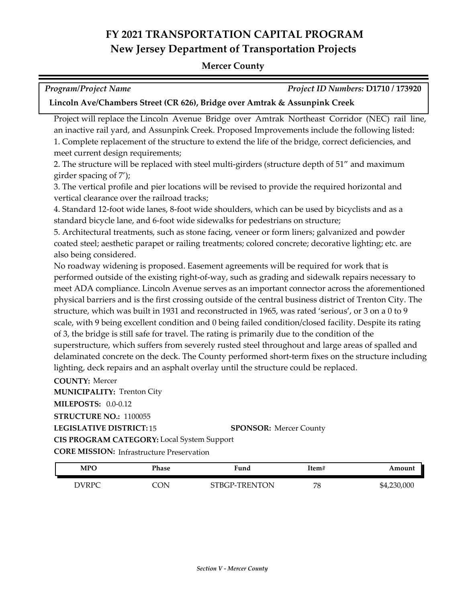#### **Mercer County**

| <b>Program/Project Name</b>                                                | Project ID Numbers: D1710 / 173920 |
|----------------------------------------------------------------------------|------------------------------------|
| Lincoln Ave/Chambers Street (CR 626), Bridge over Amtrak & Assunpink Creek |                                    |

Project will replace the Lincoln Avenue Bridge over Amtrak Northeast Corridor (NEC) rail line, an inactive rail yard, and Assunpink Creek. Proposed Improvements include the following listed: 1. Complete replacement of the structure to extend the life of the bridge, correct deficiencies, and meet current design requirements;

2. The structure will be replaced with steel multi-girders (structure depth of 51" and maximum girder spacing of 7');

3. The vertical profile and pier locations will be revised to provide the required horizontal and vertical clearance over the railroad tracks;

4. Standard 12-foot wide lanes, 8-foot wide shoulders, which can be used by bicyclists and as a standard bicycle lane, and 6-foot wide sidewalks for pedestrians on structure;

5. Architectural treatments, such as stone facing, veneer or form liners; galvanized and powder coated steel; aesthetic parapet or railing treatments; colored concrete; decorative lighting; etc. are also being considered.

No roadway widening is proposed. Easement agreements will be required for work that is performed outside of the existing right-of-way, such as grading and sidewalk repairs necessary to meet ADA compliance. Lincoln Avenue serves as an important connector across the aforementioned physical barriers and is the first crossing outside of the central business district of Trenton City. The structure, which was built in 1931 and reconstructed in 1965, was rated 'serious', or 3 on a 0 to 9 scale, with 9 being excellent condition and 0 being failed condition/closed facility. Despite its rating of 3, the bridge is still safe for travel. The rating is primarily due to the condition of the superstructure, which suffers from severely rusted steel throughout and large areas of spalled and delaminated concrete on the deck. The County performed short-term fixes on the structure including lighting, deck repairs and an asphalt overlay until the structure could be replaced.

**COUNTY:** Mercer **LEGISLATIVE DISTRICT:** 15 **MILEPOSTS:** 0.0-0.12 **STRUCTURE NO.:** 1100055 **MUNICIPALITY: Trenton City CORE MISSION:** Infrastructure Preservation **SPONSOR:** Mercer County **CIS PROGRAM CATEGORY:** Local System Support

| MPO          | Phase | :und               | 'tem#    | Amount      |
|--------------|-------|--------------------|----------|-------------|
| <b>DVRPC</b> | OЛ    | P-TRENTON:<br>3TBC | 70<br>΄Ο | \$4,230,000 |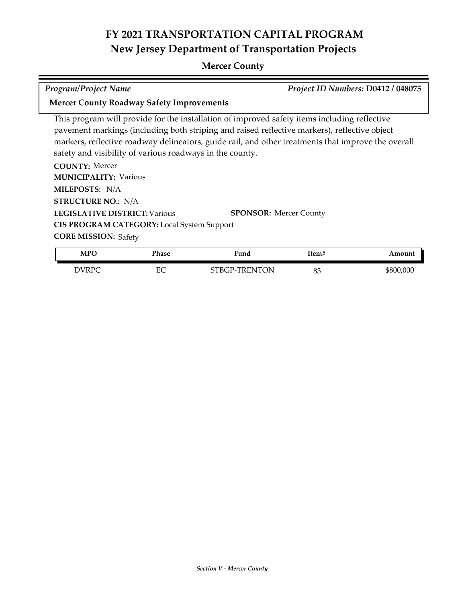### **Mercer County**

*Program/Project Name Project ID Numbers:* **D0412 / 048075**

#### **Mercer County Roadway Safety Improvements**

This program will provide for the installation of improved safety items including reflective pavement markings (including both striping and raised reflective markers), reflective object markers, reflective roadway delineators, guide rail, and other treatments that improve the overall safety and visibility of various roadways in the county.

| <b>COUNTY: Mercer</b>                             |                               |
|---------------------------------------------------|-------------------------------|
| <b>MUNICIPALITY: Various</b>                      |                               |
| <b>MILEPOSTS: N/A</b>                             |                               |
| <b>STRUCTURE NO.: N/A</b>                         |                               |
| <b>LEGISLATIVE DISTRICT: Various</b>              | <b>SPONSOR: Mercer County</b> |
| <b>CIS PROGRAM CATEGORY:</b> Local System Support |                               |
| <b>CORE MISSION: Safety</b>                       |                               |

| <b>MPO</b> | Phase             | Fund                     | Item#    | Amount    |
|------------|-------------------|--------------------------|----------|-----------|
| DVRPC      | ᄄ<br>CC<br>$\sim$ | TRENTON<br>™Rt<br>.<br>. | o٢<br>ია | \$800,000 |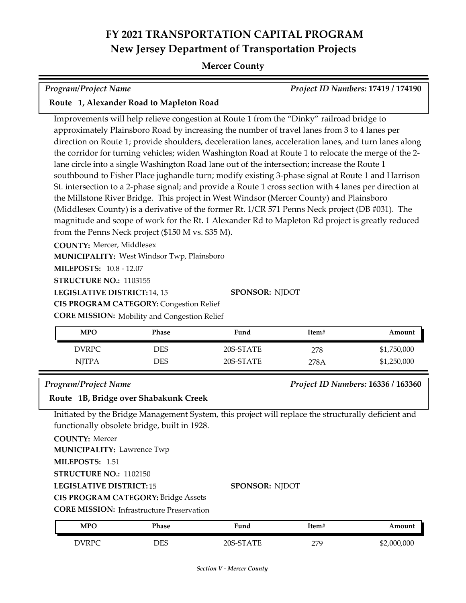#### **Mercer County**

*Program/Project Name Project ID Numbers:* **17419 / 174190**

#### **Route 1, Alexander Road to Mapleton Road**

Improvements will help relieve congestion at Route 1 from the "Dinky" railroad bridge to approximately Plainsboro Road by increasing the number of travel lanes from 3 to 4 lanes per direction on Route 1; provide shoulders, deceleration lanes, acceleration lanes, and turn lanes along the corridor for turning vehicles; widen Washington Road at Route 1 to relocate the merge of the 2 lane circle into a single Washington Road lane out of the intersection; increase the Route 1 southbound to Fisher Place jughandle turn; modify existing 3-phase signal at Route 1 and Harrison St. intersection to a 2-phase signal; and provide a Route 1 cross section with 4 lanes per direction at the Millstone River Bridge. This project in West Windsor (Mercer County) and Plainsboro (Middlesex County) is a derivative of the former Rt. 1/CR 571 Penns Neck project (DB #031). The magnitude and scope of work for the Rt. 1 Alexander Rd to Mapleton Rd project is greatly reduced from the Penns Neck project (\$150 M vs. \$35 M).

**COUNTY:** Mercer, Middlesex

**MUNICIPALITY: West Windsor Twp, Plainsboro** 

**MILEPOSTS:** 10.8 - 12.07

**STRUCTURE NO.:** 1103155

LEGISLATIVE DISTRICT: 14, 15

**SPONSOR:** NJDOT

**CIS PROGRAM CATEGORY:** Congestion Relief

**CORE MISSION:** Mobility and Congestion Relief

| MPO          | Phase | Fund      | Item# | Amount      |
|--------------|-------|-----------|-------|-------------|
| <b>DVRPC</b> | DES   | 20S-STATE | 278   | \$1,750,000 |
| <b>NJTPA</b> | DES   | 20S-STATE | 278A  | \$1,250,000 |

#### *Program/Project Name Project ID Numbers:* **16336 / 163360**

#### **Route 1B, Bridge over Shabakunk Creek**

Initiated by the Bridge Management System, this project will replace the structurally deficient and functionally obsolete bridge, built in 1928.

**COUNTY:** Mercer

**MUNICIPALITY: Lawrence Twp** 

**MILEPOSTS:** 1.51

**STRUCTURE NO.:** 1102150

**LEGISLATIVE DISTRICT:** 15

**CIS PROGRAM CATEGORY:** Bridge Assets

**CORE MISSION:** Infrastructure Preservation

| <b>MPO</b>   | Phase | Fund      | Item#    | Amount      |
|--------------|-------|-----------|----------|-------------|
| <b>DVRPC</b> | DES   | 20S-STATE | 27Q<br>ت | \$2,000,000 |

**SPONSOR:** NJDOT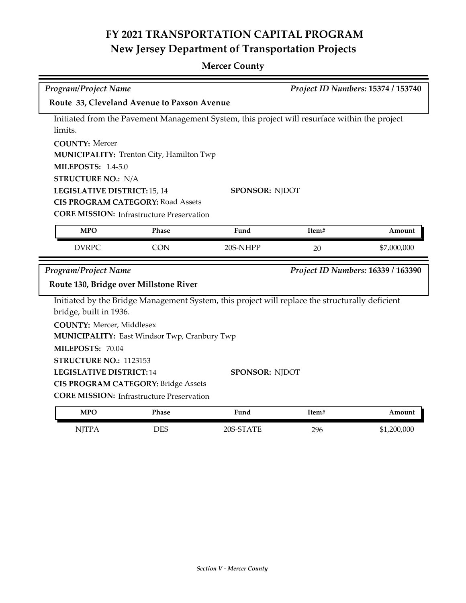| Program/Project Name                        |                                                  |                                                                                                 | Project ID Numbers: 15374 / 153740 |                                    |  |
|---------------------------------------------|--------------------------------------------------|-------------------------------------------------------------------------------------------------|------------------------------------|------------------------------------|--|
| Route 33, Cleveland Avenue to Paxson Avenue |                                                  |                                                                                                 |                                    |                                    |  |
|                                             |                                                  | Initiated from the Pavement Management System, this project will resurface within the project   |                                    |                                    |  |
| limits.                                     |                                                  |                                                                                                 |                                    |                                    |  |
| <b>COUNTY: Mercer</b>                       |                                                  |                                                                                                 |                                    |                                    |  |
|                                             | MUNICIPALITY: Trenton City, Hamilton Twp         |                                                                                                 |                                    |                                    |  |
| <b>MILEPOSTS: 1.4-5.0</b>                   |                                                  |                                                                                                 |                                    |                                    |  |
| <b>STRUCTURE NO.: N/A</b>                   |                                                  |                                                                                                 |                                    |                                    |  |
| LEGISLATIVE DISTRICT: 15, 14                |                                                  | <b>SPONSOR: NJDOT</b>                                                                           |                                    |                                    |  |
|                                             | <b>CIS PROGRAM CATEGORY: Road Assets</b>         |                                                                                                 |                                    |                                    |  |
|                                             | <b>CORE MISSION: Infrastructure Preservation</b> |                                                                                                 |                                    |                                    |  |
| <b>MPO</b>                                  | Phase                                            | Fund                                                                                            | Item#                              | Amount                             |  |
| <b>DVRPC</b>                                | <b>CON</b>                                       | 20S-NHPP                                                                                        | 20                                 | \$7,000,000                        |  |
|                                             |                                                  |                                                                                                 |                                    |                                    |  |
| <b>Program/Project Name</b>                 |                                                  |                                                                                                 |                                    | Project ID Numbers: 16339 / 163390 |  |
|                                             | Route 130, Bridge over Millstone River           |                                                                                                 |                                    |                                    |  |
|                                             |                                                  | Initiated by the Bridge Management System, this project will replace the structurally deficient |                                    |                                    |  |
| bridge, built in 1936.                      |                                                  |                                                                                                 |                                    |                                    |  |
| <b>COUNTY: Mercer, Middlesex</b>            |                                                  |                                                                                                 |                                    |                                    |  |
|                                             | MUNICIPALITY: East Windsor Twp, Cranbury Twp     |                                                                                                 |                                    |                                    |  |
| MILEPOSTS: 70.04                            |                                                  |                                                                                                 |                                    |                                    |  |
| STRUCTURE NO.: 1123153                      |                                                  |                                                                                                 |                                    |                                    |  |
| <b>LEGISLATIVE DISTRICT:14</b>              |                                                  | <b>SPONSOR: NJDOT</b>                                                                           |                                    |                                    |  |
|                                             | <b>CIS PROGRAM CATEGORY: Bridge Assets</b>       |                                                                                                 |                                    |                                    |  |
|                                             | <b>CORE MISSION:</b> Infrastructure Preservation |                                                                                                 |                                    |                                    |  |
| <b>MPO</b>                                  | Phase                                            | Fund                                                                                            | Item#                              | Amount                             |  |